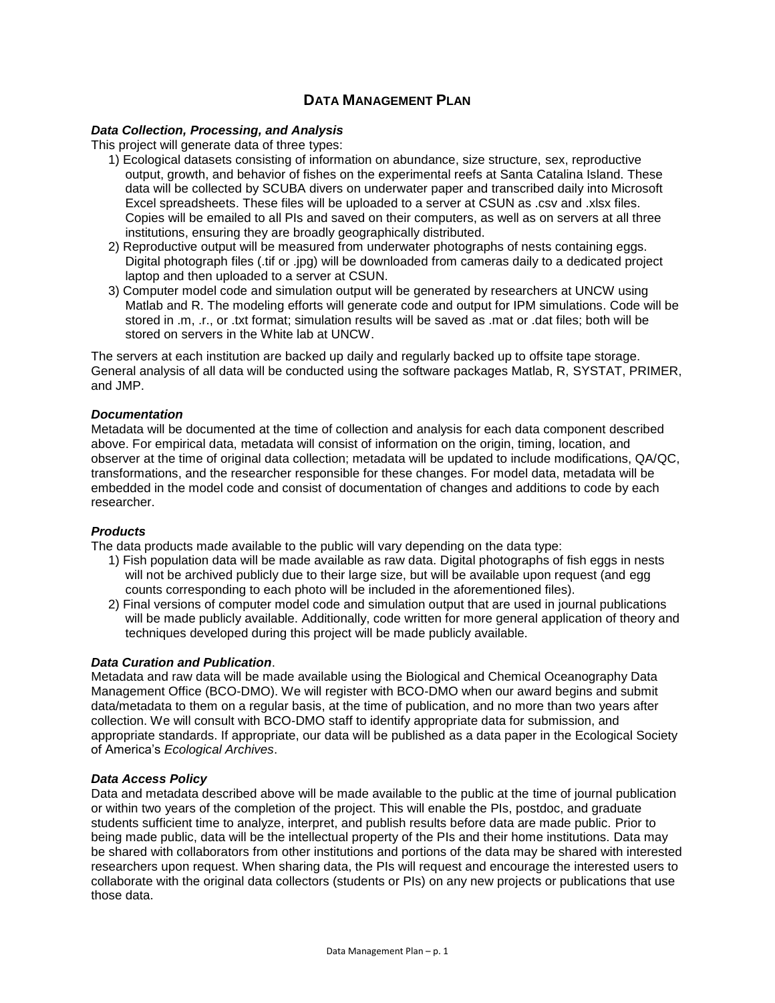# **DATA MANAGEMENT PLAN**

## *Data Collection, Processing, and Analysis*

This project will generate data of three types:

- 1) Ecological datasets consisting of information on abundance, size structure, sex, reproductive output, growth, and behavior of fishes on the experimental reefs at Santa Catalina Island. These data will be collected by SCUBA divers on underwater paper and transcribed daily into Microsoft Excel spreadsheets. These files will be uploaded to a server at CSUN as .csv and .xlsx files. Copies will be emailed to all PIs and saved on their computers, as well as on servers at all three institutions, ensuring they are broadly geographically distributed.
- 2) Reproductive output will be measured from underwater photographs of nests containing eggs. Digital photograph files (.tif or .jpg) will be downloaded from cameras daily to a dedicated project laptop and then uploaded to a server at CSUN.
- 3) Computer model code and simulation output will be generated by researchers at UNCW using Matlab and R. The modeling efforts will generate code and output for IPM simulations. Code will be stored in .m, .r., or .txt format; simulation results will be saved as .mat or .dat files; both will be stored on servers in the White lab at UNCW.

The servers at each institution are backed up daily and regularly backed up to offsite tape storage. General analysis of all data will be conducted using the software packages Matlab, R, SYSTAT, PRIMER, and JMP.

### *Documentation*

Metadata will be documented at the time of collection and analysis for each data component described above. For empirical data, metadata will consist of information on the origin, timing, location, and observer at the time of original data collection; metadata will be updated to include modifications, QA/QC, transformations, and the researcher responsible for these changes. For model data, metadata will be embedded in the model code and consist of documentation of changes and additions to code by each researcher.

#### *Products*

The data products made available to the public will vary depending on the data type:

- 1) Fish population data will be made available as raw data. Digital photographs of fish eggs in nests will not be archived publicly due to their large size, but will be available upon request (and egg counts corresponding to each photo will be included in the aforementioned files).
- 2) Final versions of computer model code and simulation output that are used in journal publications will be made publicly available. Additionally, code written for more general application of theory and techniques developed during this project will be made publicly available.

#### *Data Curation and Publication*.

Metadata and raw data will be made available using the Biological and Chemical Oceanography Data Management Office (BCO-DMO). We will register with BCO-DMO when our award begins and submit data/metadata to them on a regular basis, at the time of publication, and no more than two years after collection. We will consult with BCO-DMO staff to identify appropriate data for submission, and appropriate standards. If appropriate, our data will be published as a data paper in the Ecological Society of America's *Ecological Archives*.

#### *Data Access Policy*

Data and metadata described above will be made available to the public at the time of journal publication or within two years of the completion of the project. This will enable the PIs, postdoc, and graduate students sufficient time to analyze, interpret, and publish results before data are made public. Prior to being made public, data will be the intellectual property of the PIs and their home institutions. Data may be shared with collaborators from other institutions and portions of the data may be shared with interested researchers upon request. When sharing data, the PIs will request and encourage the interested users to collaborate with the original data collectors (students or PIs) on any new projects or publications that use those data.